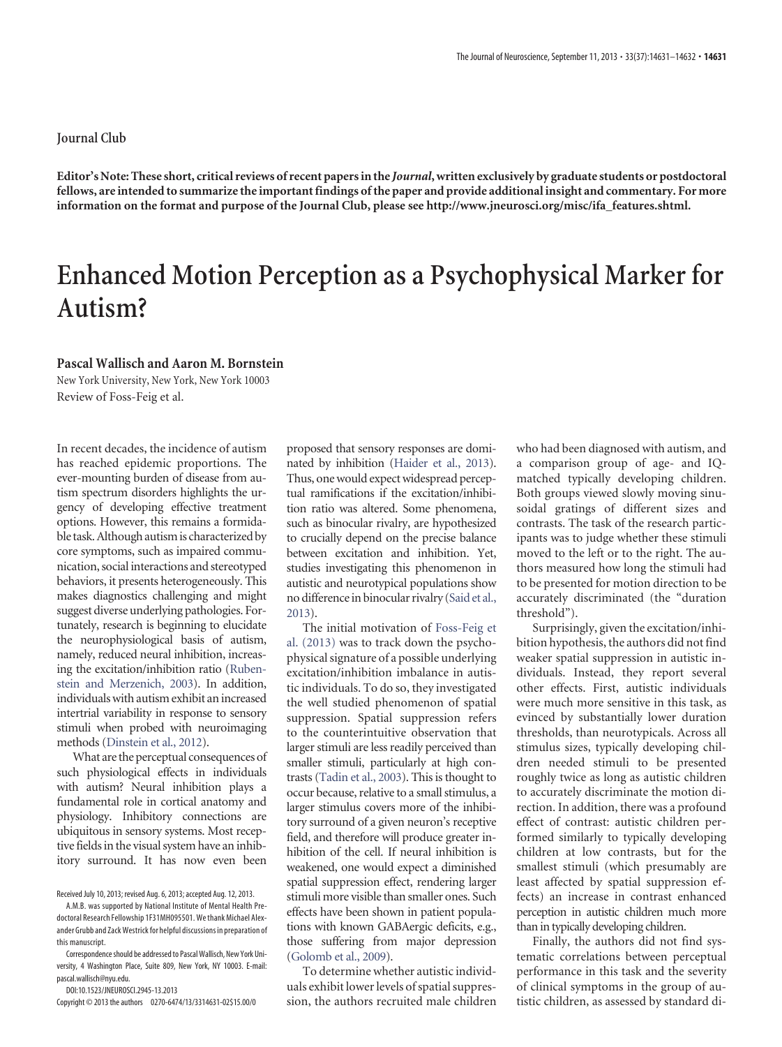## **Journal Club**

**Editor's Note: These short, critical reviews of recent papers in the** *Journal***, written exclusively by graduate students or postdoctoral fellows, are intended to summarize the important findings of the paper and provide additional insight and commentary. For more information on the format and purpose of the Journal Club, please see [http://www.jneurosci.org/misc/ifa\\_features.shtml.](http://www.jneurosci.org/misc/ifa_features.shtml)**

## **Enhanced Motion Perception as a Psychophysical Marker for Autism?**

## **Pascal Wallisch and Aaron M. Bornstein**

New York University, New York, New York 10003 Review of [Foss-Feig et al.](http://www.jneurosci.org/content/33/19/8243)

In recent decades, the incidence of autism has reached epidemic proportions. The ever-mounting burden of disease from autism spectrum disorders highlights the urgency of developing effective treatment options. However, this remains a formidable task.Although autismis characterized by core symptoms, such as impaired communication, social interactions and stereotyped behaviors, it presents heterogeneously. This makes diagnostics challenging and might suggest diverse underlying pathologies. Fortunately, research is beginning to elucidate the neurophysiological basis of autism, namely, reduced neural inhibition, increasing the excitation/inhibition ratio [\(Ruben](#page-1-0)[stein and Merzenich, 2003\)](#page-1-0). In addition, individuals with autism exhibit an increased intertrial variability in response to sensory stimuli when probed with neuroimaging methods [\(Dinstein et al., 2012\)](#page-1-1).

What are the perceptual consequences of such physiological effects in individuals with autism? Neural inhibition plays a fundamental role in cortical anatomy and physiology. Inhibitory connections are ubiquitous in sensory systems. Most receptive fields in the visual system have an inhibitory surround. It has now even been

Received July 10, 2013; revised Aug. 6, 2013; accepted Aug. 12, 2013.

DOI:10.1523/JNEUROSCI.2945-13.2013

Copyright © 2013 the authors 0270-6474/13/3314631-02\$15.00/0

proposed that sensory responses are dominated by inhibition [\(Haider et al., 2013\)](#page-1-2). Thus, one would expect widespread perceptual ramifications if the excitation/inhibition ratio was altered. Some phenomena, such as binocular rivalry, are hypothesized to crucially depend on the precise balance between excitation and inhibition. Yet, studies investigating this phenomenon in autistic and neurotypical populations show no difference in binocular rivalry [\(Said et al.,](#page-1-3) [2013\)](#page-1-3).

The initial motivation of [Foss-Feig et](#page-1-4) [al. \(2013\)](#page-1-4) was to track down the psychophysical signature of a possible underlying excitation/inhibition imbalance in autistic individuals. To do so, they investigated the well studied phenomenon of spatial suppression. Spatial suppression refers to the counterintuitive observation that larger stimuli are less readily perceived than smaller stimuli, particularly at high contrasts [\(Tadin et al., 2003\)](#page-1-5). This is thought to occur because, relative to a small stimulus, a larger stimulus covers more of the inhibitory surround of a given neuron's receptive field, and therefore will produce greater inhibition of the cell. If neural inhibition is weakened, one would expect a diminished spatial suppression effect, rendering larger stimuli more visible than smaller ones. Such effects have been shown in patient populations with known GABAergic deficits, e.g., those suffering from major depression [\(Golomb et al., 2009\)](#page-1-6).

To determine whether autistic individuals exhibit lower levels of spatial suppression, the authors recruited male children who had been diagnosed with autism, and a comparison group of age- and IQmatched typically developing children. Both groups viewed slowly moving sinusoidal gratings of different sizes and contrasts. The task of the research participants was to judge whether these stimuli moved to the left or to the right. The authors measured how long the stimuli had to be presented for motion direction to be accurately discriminated (the "duration threshold").

Surprisingly, given the excitation/inhibition hypothesis, the authors did not find weaker spatial suppression in autistic individuals. Instead, they report several other effects. First, autistic individuals were much more sensitive in this task, as evinced by substantially lower duration thresholds, than neurotypicals. Across all stimulus sizes, typically developing children needed stimuli to be presented roughly twice as long as autistic children to accurately discriminate the motion direction. In addition, there was a profound effect of contrast: autistic children performed similarly to typically developing children at low contrasts, but for the smallest stimuli (which presumably are least affected by spatial suppression effects) an increase in contrast enhanced perception in autistic children much more than in typically developing children.

Finally, the authors did not find systematic correlations between perceptual performance in this task and the severity of clinical symptoms in the group of autistic children, as assessed by standard di-

A.M.B. was supported by National Institute of Mental Health Predoctoral Research Fellowship 1F31MH095501.We thank Michael Alexander Grubb and ZackWestrick for helpful discussions in preparation of this manuscript.

Correspondence should be addressed to Pascal Wallisch, New York University, 4 Washington Place, Suite 809, New York, NY 10003. E-mail: pascal.wallisch@nyu.edu.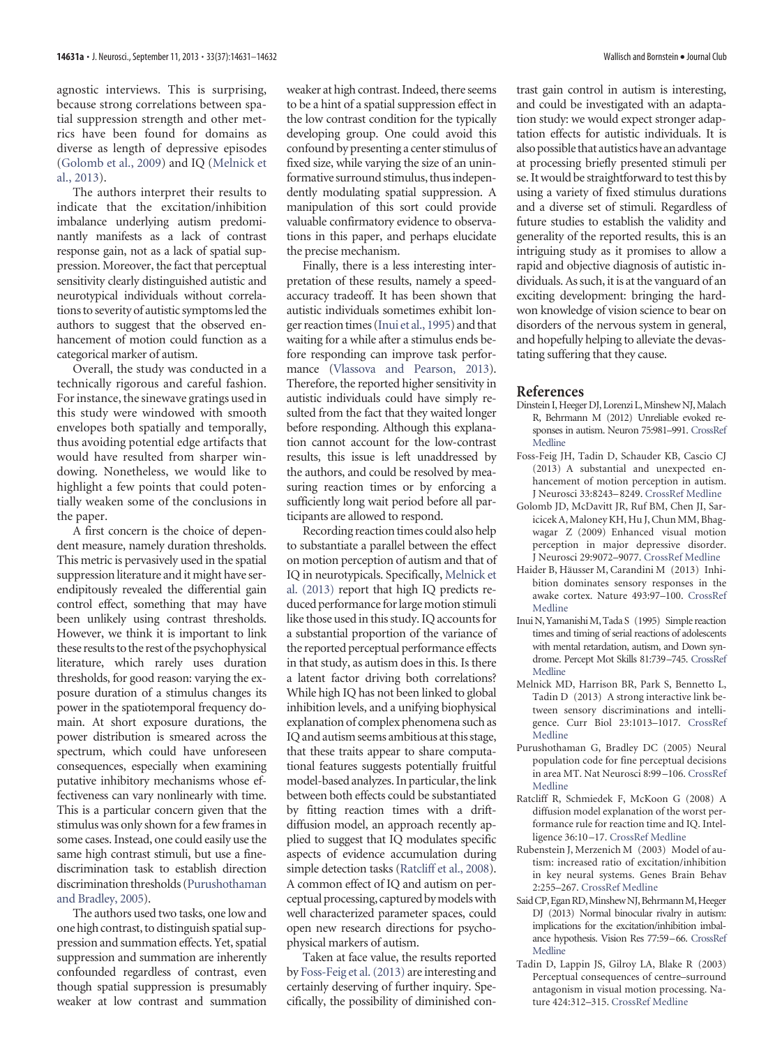<span id="page-1-10"></span>agnostic interviews. This is surprising, because strong correlations between spatial suppression strength and other metrics have been found for domains as diverse as length of depressive episodes [\(Golomb et al., 2009\)](#page-1-6) and IQ [\(Melnick et](#page-1-7) [al., 2013\)](#page-1-7).

The authors interpret their results to indicate that the excitation/inhibition imbalance underlying autism predominantly manifests as a lack of contrast response gain, not as a lack of spatial suppression. Moreover, the fact that perceptual sensitivity clearly distinguished autistic and neurotypical individuals without correlations to severity of autistic symptoms led the authors to suggest that the observed enhancement of motion could function as a categorical marker of autism.

Overall, the study was conducted in a technically rigorous and careful fashion. For instance, the sinewave gratings used in this study were windowed with smooth envelopes both spatially and temporally, thus avoiding potential edge artifacts that would have resulted from sharper windowing. Nonetheless, we would like to highlight a few points that could potentially weaken some of the conclusions in the paper.

A first concern is the choice of dependent measure, namely duration thresholds. This metric is pervasively used in the spatial suppression literature and it might have serendipitously revealed the differential gain control effect, something that may have been unlikely using contrast thresholds. However, we think it is important to link these results to the rest of the psychophysical literature, which rarely uses duration thresholds, for good reason: varying the exposure duration of a stimulus changes its power in the spatiotemporal frequency domain. At short exposure durations, the power distribution is smeared across the spectrum, which could have unforeseen consequences, especially when examining putative inhibitory mechanisms whose effectiveness can vary nonlinearly with time. This is a particular concern given that the stimulus was only shown for a few frames in some cases. Instead, one could easily use the same high contrast stimuli, but use a finediscrimination task to establish direction discrimination thresholds [\(Purushothaman](#page-1-8) [and Bradley, 2005\)](#page-1-8).

The authors used two tasks, one low and one high contrast, to distinguish spatial suppression and summation effects. Yet, spatial suppression and summation are inherently confounded regardless of contrast, even though spatial suppression is presumably weaker at low contrast and summation

weaker at high contrast. Indeed, there seems to be a hint of a spatial suppression effect in the low contrast condition for the typically developing group. One could avoid this confound by presenting a center stimulus of fixed size, while varying the size of an uninformative surround stimulus, thusindependently modulating spatial suppression. A manipulation of this sort could provide valuable confirmatory evidence to observations in this paper, and perhaps elucidate the precise mechanism.

Finally, there is a less interesting interpretation of these results, namely a speedaccuracy tradeoff. It has been shown that autistic individuals sometimes exhibit longer reaction times [\(Inui et al., 1995\)](#page-1-9) and that waiting for a while after a stimulus ends before responding can improve task performance [\(Vlassova and Pearson, 2013\)](#page-1-10). Therefore, the reported higher sensitivity in autistic individuals could have simply resulted from the fact that they waited longer before responding. Although this explanation cannot account for the low-contrast results, this issue is left unaddressed by the authors, and could be resolved by measuring reaction times or by enforcing a sufficiently long wait period before all participants are allowed to respond.

Recording reaction times could also help to substantiate a parallel between the effect on motion perception of autism and that of IQ in neurotypicals. Specifically, [Melnick et](#page-1-7) [al. \(2013\)](#page-1-7) report that high IQ predicts reduced performance for large motion stimuli like those used in this study. IQ accounts for a substantial proportion of the variance of the reported perceptual performance effects in that study, as autism does in this. Is there a latent factor driving both correlations? While high IQ has not been linked to global inhibition levels, and a unifying biophysical explanation of complex phenomena such as IQ and autism seems ambitious at this stage, that these traits appear to share computational features suggests potentially fruitful model-based analyzes. In particular, the link between both effects could be substantiated by fitting reaction times with a driftdiffusion model, an approach recently applied to suggest that IQ modulates specific aspects of evidence accumulation during simple detection tasks [\(Ratcliff et al., 2008\)](#page-1-11). A common effect of IQ and autism on perceptual processing, captured bymodelswith well characterized parameter spaces, could open new research directions for psychophysical markers of autism.

Taken at face value, the results reported by [Foss-Feig et al. \(2013\)](#page-1-4) are interesting and certainly deserving of further inquiry. Specifically, the possibility of diminished contrast gain control in autism is interesting, and could be investigated with an adaptation study: we would expect stronger adaptation effects for autistic individuals. It is also possible that autistics have an advantage at processing briefly presented stimuli per se. It would be straightforward to test this by using a variety of fixed stimulus durations and a diverse set of stimuli. Regardless of future studies to establish the validity and generality of the reported results, this is an intriguing study as it promises to allow a rapid and objective diagnosis of autistic individuals. As such, it is at the vanguard of an exciting development: bringing the hardwon knowledge of vision science to bear on disorders of the nervous system in general, and hopefully helping to alleviate the devastating suffering that they cause.

## **References**

- <span id="page-1-1"></span>Dinstein I, Heeger DJ, Lorenzi L, Minshew NJ, Malach R, Behrmann M (2012) Unreliable evoked responses in autism. Neuron 75:981–991. [CrossRef](http://dx.doi.org/10.1016/j.neuron.2012.07.026) [Medline](http://www.ncbi.nlm.nih.gov/pubmed/22998867)
- <span id="page-1-4"></span>Foss-Feig JH, Tadin D, Schauder KB, Cascio CJ (2013) A substantial and unexpected enhancement of motion perception in autism. J Neurosci 33:8243–8249. [CrossRef](http://dx.doi.org/10.1523/JNEUROSCI.1608-12.2013) [Medline](http://www.ncbi.nlm.nih.gov/pubmed/23658163)
- <span id="page-1-6"></span>Golomb JD, McDavitt JR, Ruf BM, Chen JI, Saricicek A, Maloney KH, Hu J, Chun MM, Bhagwagar Z (2009) Enhanced visual motion perception in major depressive disorder. J Neurosci 29:9072–9077. [CrossRef](http://dx.doi.org/10.1523/JNEUROSCI.1003-09.2009) [Medline](http://www.ncbi.nlm.nih.gov/pubmed/19605644)
- <span id="page-1-2"></span>Haider B, Häusser M, Carandini M (2013) Inhibition dominates sensory responses in the awake cortex. Nature 493:97–100. [CrossRef](http://dx.doi.org/10.1038/nature11665 ) [Medline](http://www.ncbi.nlm.nih.gov/pubmed/23172139)
- <span id="page-1-9"></span>Inui N, Yamanishi M, Tada S (1995) Simple reaction times and timing of serial reactions of adolescents with mental retardation, autism, and Down syndrome. Percept Mot Skills 81:739–745. [CrossRef](http://dx.doi.org/10.2466/pms.1995.81.3.739) [Medline](http://www.ncbi.nlm.nih.gov/pubmed/8668429)
- <span id="page-1-7"></span>Melnick MD, Harrison BR, Park S, Bennetto L, Tadin D (2013) A strong interactive link between sensory discriminations and intelligence. Curr Biol 23:1013–1017. [CrossRef](http://dx.doi.org/10.1016/j.cub.2013.04.053) [Medline](http://www.ncbi.nlm.nih.gov/pubmed/23707433)
- <span id="page-1-8"></span>Purushothaman G, Bradley DC (2005) Neural population code for fine perceptual decisions in area MT. Nat Neurosci 8:99 –106. [CrossRef](http://dx.doi.org/10.1038/nn1373) [Medline](http://www.ncbi.nlm.nih.gov/pubmed/15608633)
- <span id="page-1-11"></span>Ratcliff R, Schmiedek F, McKoon G (2008) A diffusion model explanation of the worst performance rule for reaction time and IQ. Intelligence 36:10 –17. [CrossRef](http://dx.doi.org/10.1016/j.intell.2006.12.002) [Medline](http://www.ncbi.nlm.nih.gov/pubmed/18584065)
- <span id="page-1-0"></span>Rubenstein J, Merzenich M (2003) Model of autism: increased ratio of excitation/inhibition in key neural systems. Genes Brain Behav 2:255–267. [CrossRef](http://dx.doi.org/10.1034/j.1601-183X.2003.00037.x) [Medline](http://www.ncbi.nlm.nih.gov/pubmed/14606691)
- <span id="page-1-3"></span>Said CP, Egan RD, Minshew NJ, Behrmann M, Heeger DJ (2013) Normal binocular rivalry in autism: implications for the excitation/inhibition imbalance hypothesis. Vision Res 77:59–66. [CrossRef](http://dx.doi.org/10.1016/j.visres.2012.11.002) [Medline](http://www.ncbi.nlm.nih.gov/pubmed/23200868)
- <span id="page-1-5"></span>Tadin D, Lappin JS, Gilroy LA, Blake R (2003) Perceptual consequences of centre–surround antagonism in visual motion processing. Nature 424:312–315. [CrossRef](http://dx.doi.org/10.1038/nature01800) [Medline](http://www.ncbi.nlm.nih.gov/pubmed/12867982)